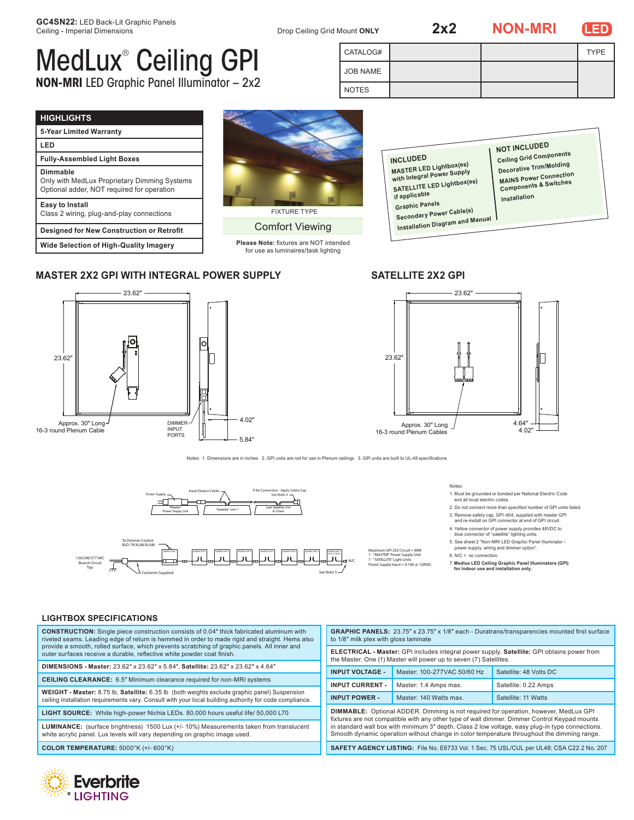**2x2 NON-MRI LED**

**NOT INCLUDED Ceiling Grid Components** Decorative Trim/Molding **MAINS Power Connection<br>MAINS Power Connection Components & Switches**

**Installation**

**DECO**<br>MAIN



# MedLux® Ceiling GPI **NON-MRI** LED Graphic Panel Illuminator – 2x2

| CATALOG# |  | <b>TYPE</b> |
|----------|--|-------------|
| JOB NAME |  |             |
| NOTES    |  |             |

## **HIGHLIGHTS**

| .                                                                                                      |
|--------------------------------------------------------------------------------------------------------|
| 5-Year Limited Warranty                                                                                |
| LED                                                                                                    |
| <b>Fully-Assembled Light Boxes</b>                                                                     |
| Dimmable<br>Only with MedLux Proprietary Dimming Systems<br>Optional adder, NOT required for operation |
| Easy to Install<br>Class 2 wiring, plug-and-play connections                                           |
| <b>Designed for New Construction or Retrofit</b>                                                       |
|                                                                                                        |

**Wide Selection of High-Quality Imagery**

## **MASTER 2X2 GPI WITH INTEGRAL POWER SUPPLY SATELLITE 2X2 GPI**



# FIXTURE TYPE

Comfort Viewing

**Please Note:** fixtures are NOT intended for use as luminaires/task lighting

**INCLUDED**

**if applicable Graphic Panels Secondary Power Cable(s) Installation Diagram and Manua<sup>l</sup>**

**MASTER LED Lightbox(es)**<br>MASTER LED Lightbox(es) **MASTER LLD - 3**<br>with Integral Power Supply **SATELLITE LED Lightbox(es)** 



Notes: 1. Dimensions are in inches 2. GPI units are not for use in Plenum ceilings 3. GPI units are built to UL-48 specifications



Notes:

1. Must be grounded or bonded per National Electric Code and all local electric codes.

- 2. Do not connect more than specified number of GPI units listed.
- 3. Remove safety cap, GPI-404, supplied with master GPI and re-install on GPI connector at end of GPI circuit.
- 4. Yellow connector of power supply provides 48VDC to blue connector of "satellite" lighting units. 5. See sheet 2 "Non-MRI LED Graphic Panel Illuminator -
- power supply, wiring and dimmer option".

Maximum GPI 2X2 Circuit = 88W<br>1 - "MASTER" Power Supply Unit<br>7 - "SATELLITE" Light Units<br>Power Supply Input = 0.74A @ 120VAC 6. N/C = no connection.

7. **Medlux LED Ceiling Graphic Panel Illuminators (GPI) for indoor use and installation only.**

## **LIGHTBOX SPECIFICATIONS**

4.02" 16-3 round Plenum Cables **WEIGHT - Master:** 8.75 lb, **Satellite:** 6.35 lb (both weights exclude graphic panel) Suspension **CEILING CLEARANCE:** 6.5" Minimum clearance required for non-MRI systems **CONSTRUCTION:** Single piece construction consists of 0.04″ thick fabricated aluminum with riveted seams. Leading edge of return is hemmed in order to made rigid and straight. Hems also provide a smooth, rolled surface, which prevents scratching of graphic panels. All inner and outer surfaces receive a durable, reflective white powder coat finish. **DIMENSIONS - Master:** 23.62″ x 23.62″ x 5.84″, **Satellite:** 23.62″ x 23.62″ x 4.64″ ceiling installation requirements vary. Consult with your local building authority for code compliance. **LIGHT SOURCE:** White high-power Nichia LEDs. 80,000 hours useful life/ 50,000 L70 **LUMINANCE:** (surface brightness) 1500 Lux (+/- 10%) Measurements taken from translucent white acrylic panel. Lux levels will vary depending on graphic image used. **COLOR TEMPERATURE:** 5000°K (+/- 600°K) **GRAPHIC PANELS:** 23.75″ x 23.75″ x 1/8″ each - Duratrans/transparencies mounted first surface to 1/8″ milk plex with gloss laminate

| <b>ELECTRICAL - Master:</b> GPI includes integral power supply. Satellite: GPI obtains power from<br>the Master. One (1) Master will power up to seven (7) Satellites.                                                                                                                                                                                                                       |                             |                        |  |  |  |
|----------------------------------------------------------------------------------------------------------------------------------------------------------------------------------------------------------------------------------------------------------------------------------------------------------------------------------------------------------------------------------------------|-----------------------------|------------------------|--|--|--|
| <b>INPUT VOLTAGE -</b>                                                                                                                                                                                                                                                                                                                                                                       | Master: 100-277VAC 50/60 Hz | Satellite: 48 Volts DC |  |  |  |
| <b>INPUT CURRENT -</b>                                                                                                                                                                                                                                                                                                                                                                       | Master: 1.4 Amps max.       | Satellite: 0.22 Amps   |  |  |  |
| <b>INPUT POWER -</b>                                                                                                                                                                                                                                                                                                                                                                         | Master: 140 Watts max.      | Satellite: 11 Watts    |  |  |  |
| <b>DIMMABLE:</b> Optional ADDER. Dimming is not required for operation, however, MedLux GPI<br>fixtures are not compatible with any other type of wall dimmer. Dimmer Control Keypad mounts<br>in standard wall box with minimum 3" depth. Class 2 low voltage, easy plug-in type connections.<br>Smooth dynamic operation without change in color temperature throughout the dimming range. |                             |                        |  |  |  |
| SAFETY AGENCY LISTING: File No. E6733 Vol. 1 Sec. 75 USL/CUL per UL48; CSA C22.2 No. 207                                                                                                                                                                                                                                                                                                     |                             |                        |  |  |  |